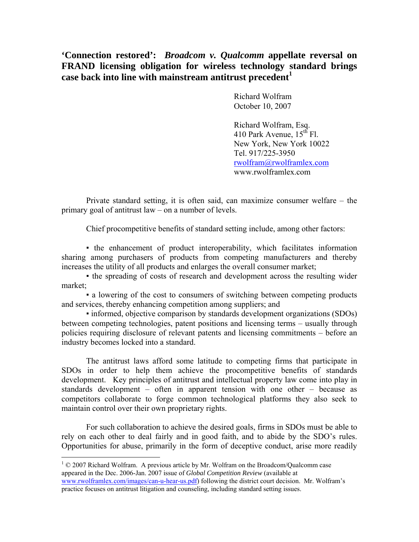**'Connection restored':** *Broadcom v. Qualcomm* **appellate reversal on FRAND licensing obligation for wireless technology standard brings case back into line with mainstream antitrust precedent<sup>1</sup>**

> Richard Wolfram October 10, 2007

Richard Wolfram, Esq. 410 Park Avenue,  $15<sup>th</sup>$  Fl. New York, New York 10022 Tel. 917/225-3950 rwolfram@rwolframlex.com www.rwolframlex.com

Private standard setting, it is often said, can maximize consumer welfare – the primary goal of antitrust law – on a number of levels.

Chief procompetitive benefits of standard setting include, among other factors:

▪ the enhancement of product interoperability, which facilitates information sharing among purchasers of products from competing manufacturers and thereby increases the utility of all products and enlarges the overall consumer market;

▪ the spreading of costs of research and development across the resulting wider market;

▪ a lowering of the cost to consumers of switching between competing products and services, thereby enhancing competition among suppliers; and

▪ informed, objective comparison by standards development organizations (SDOs) between competing technologies, patent positions and licensing terms – usually through policies requiring disclosure of relevant patents and licensing commitments – before an industry becomes locked into a standard.

The antitrust laws afford some latitude to competing firms that participate in SDOs in order to help them achieve the procompetitive benefits of standards development. Key principles of antitrust and intellectual property law come into play in standards development – often in apparent tension with one other – because as competitors collaborate to forge common technological platforms they also seek to maintain control over their own proprietary rights.

For such collaboration to achieve the desired goals, firms in SDOs must be able to rely on each other to deal fairly and in good faith, and to abide by the SDO's rules. Opportunities for abuse, primarily in the form of deceptive conduct, arise more readily

<u>.</u>

 $1 \odot 2007$  Richard Wolfram. A previous article by Mr. Wolfram on the Broadcom/Qualcomm case appeared in the Dec. 2006-Jan. 2007 issue of *Global Competition Review* (available at www.rwolframlex.com/images/can-u-hear-us.pdf) following the district court decision. Mr. Wolfram's practice focuses on antitrust litigation and counseling, including standard setting issues.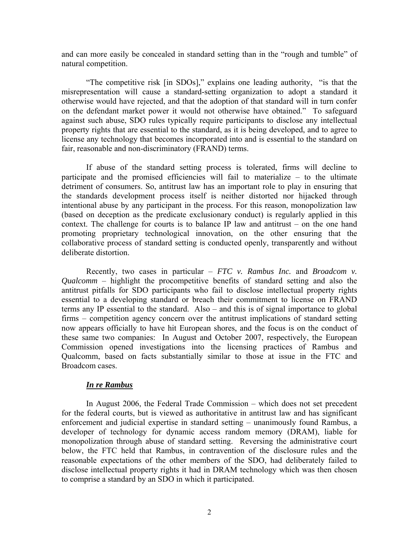and can more easily be concealed in standard setting than in the "rough and tumble" of natural competition.

"The competitive risk [in SDOs]," explains one leading authority, "is that the misrepresentation will cause a standard-setting organization to adopt a standard it otherwise would have rejected, and that the adoption of that standard will in turn confer on the defendant market power it would not otherwise have obtained." To safeguard against such abuse, SDO rules typically require participants to disclose any intellectual property rights that are essential to the standard, as it is being developed, and to agree to license any technology that becomes incorporated into and is essential to the standard on fair, reasonable and non-discriminatory (FRAND) terms.

If abuse of the standard setting process is tolerated, firms will decline to participate and the promised efficiencies will fail to materialize – to the ultimate detriment of consumers. So, antitrust law has an important role to play in ensuring that the standards development process itself is neither distorted nor hijacked through intentional abuse by any participant in the process. For this reason, monopolization law (based on deception as the predicate exclusionary conduct) is regularly applied in this context. The challenge for courts is to balance IP law and antitrust – on the one hand promoting proprietary technological innovation, on the other ensuring that the collaborative process of standard setting is conducted openly, transparently and without deliberate distortion.

Recently, two cases in particular – *FTC v. Rambus Inc.* and *Broadcom v. Qualcomm* – highlight the procompetitive benefits of standard setting and also the antitrust pitfalls for SDO participants who fail to disclose intellectual property rights essential to a developing standard or breach their commitment to license on FRAND terms any IP essential to the standard. Also – and this is of signal importance to global firms – competition agency concern over the antitrust implications of standard setting now appears officially to have hit European shores, and the focus is on the conduct of these same two companies: In August and October 2007, respectively, the European Commission opened investigations into the licensing practices of Rambus and Qualcomm, based on facts substantially similar to those at issue in the FTC and Broadcom cases.

## *In re Rambus*

In August 2006, the Federal Trade Commission – which does not set precedent for the federal courts, but is viewed as authoritative in antitrust law and has significant enforcement and judicial expertise in standard setting – unanimously found Rambus, a developer of technology for dynamic access random memory (DRAM), liable for monopolization through abuse of standard setting. Reversing the administrative court below, the FTC held that Rambus, in contravention of the disclosure rules and the reasonable expectations of the other members of the SDO, had deliberately failed to disclose intellectual property rights it had in DRAM technology which was then chosen to comprise a standard by an SDO in which it participated.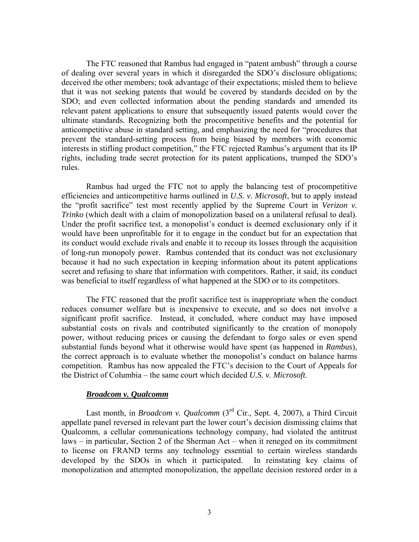The FTC reasoned that Rambus had engaged in "patent ambush" through a course of dealing over several years in which it disregarded the SDO's disclosure obligations; deceived the other members; took advantage of their expectations; misled them to believe that it was not seeking patents that would be covered by standards decided on by the SDO; and even collected information about the pending standards and amended its relevant patent applications to ensure that subsequently issued patents would cover the ultimate standards. Recognizing both the procompetitive benefits and the potential for anticompetitive abuse in standard setting, and emphasizing the need for "procedures that prevent the standard-setting process from being biased by members with economic interests in stifling product competition," the FTC rejected Rambus's argument that its IP rights, including trade secret protection for its patent applications, trumped the SDO's rules.

Rambus had urged the FTC not to apply the balancing test of procompetitive efficiencies and anticompetitive harms outlined in *U.S. v. Microsoft*, but to apply instead the "profit sacrifice" test most recently applied by the Supreme Court in *Verizon v. Trinko* (which dealt with a claim of monopolization based on a unilateral refusal to deal). Under the profit sacrifice test, a monopolist's conduct is deemed exclusionary only if it would have been unprofitable for it to engage in the conduct but for an expectation that its conduct would exclude rivals and enable it to recoup its losses through the acquisition of long-run monopoly power. Rambus contended that its conduct was not exclusionary because it had no such expectation in keeping information about its patent applications secret and refusing to share that information with competitors. Rather, it said, its conduct was beneficial to itself regardless of what happened at the SDO or to its competitors.

The FTC reasoned that the profit sacrifice test is inappropriate when the conduct reduces consumer welfare but is inexpensive to execute, and so does not involve a significant profit sacrifice. Instead, it concluded, where conduct may have imposed substantial costs on rivals and contributed significantly to the creation of monopoly power, without reducing prices or causing the defendant to forgo sales or even spend substantial funds beyond what it otherwise would have spent (as happened in *Rambus*), the correct approach is to evaluate whether the monopolist's conduct on balance harms competition. Rambus has now appealed the FTC's decision to the Court of Appeals for the District of Columbia – the same court which decided *U.S. v. Microsoft*.

## *Broadcom v. Qualcomm*

Last month, in *Broadcom v. Qualcomm* (3<sup>rd</sup> Cir., Sept. 4, 2007), a Third Circuit appellate panel reversed in relevant part the lower court's decision dismissing claims that Qualcomm, a cellular communications technology company, had violated the antitrust laws – in particular, Section 2 of the Sherman Act – when it reneged on its commitment to license on FRAND terms any technology essential to certain wireless standards developed by the SDOs in which it participated. In reinstating key claims of monopolization and attempted monopolization, the appellate decision restored order in a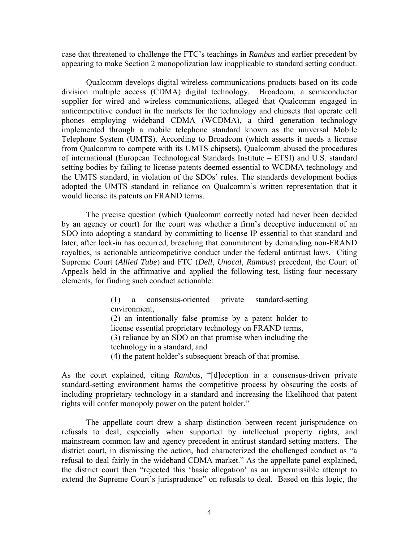case that threatened to challenge the FTC's teachings in *Rambus* and earlier precedent by appearing to make Section 2 monopolization law inapplicable to standard setting conduct.

Qualcomm develops digital wireless communications products based on its code division multiple access (CDMA) digital technology. Broadcom, a semiconductor supplier for wired and wireless communications, alleged that Qualcomm engaged in anticompetitive conduct in the markets for the technology and chipsets that operate cell phones employing wideband CDMA (WCDMA), a third generation technology implemented through a mobile telephone standard known as the universal Mobile Telephone System (UMTS). According to Broadcom (which asserts it needs a license from Qualcomm to compete with its UMTS chipsets), Qualcomm abused the procedures of international (European Technological Standards Institute – ETSI) and U.S. standard setting bodies by failing to license patents deemed essential to WCDMA technology and the UMTS standard, in violation of the SDOs' rules. The standards development bodies adopted the UMTS standard in reliance on Qualcomm's written representation that it would license its patents on FRAND terms.

The precise question (which Qualcomm correctly noted had never been decided by an agency or court) for the court was whether a firm's deceptive inducement of an SDO into adopting a standard by committing to license IP essential to that standard and later, after lock-in has occurred, breaching that commitment by demanding non-FRAND royalties, is actionable anticompetitive conduct under the federal antitrust laws. Citing Supreme Court (*Allied Tube*) and FTC (*Dell*, *Unocal*, *Rambus*) precedent, the Court of Appeals held in the affirmative and applied the following test, listing four necessary elements, for finding such conduct actionable:

> (1) a consensus-oriented private standard-setting environment, (2) an intentionally false promise by a patent holder to license essential proprietary technology on FRAND terms, (3) reliance by an SDO on that promise when including the technology in a standard, and (4) the patent holder's subsequent breach of that promise.

As the court explained, citing *Rambus*, "[d]eception in a consensus-driven private standard-setting environment harms the competitive process by obscuring the costs of including proprietary technology in a standard and increasing the likelihood that patent rights will confer monopoly power on the patent holder."

The appellate court drew a sharp distinction between recent jurisprudence on refusals to deal, especially when supported by intellectual property rights, and mainstream common law and agency precedent in antirust standard setting matters. The district court, in dismissing the action, had characterized the challenged conduct as "a refusal to deal fairly in the wideband CDMA market." As the appellate panel explained, the district court then "rejected this 'basic allegation' as an impermissible attempt to extend the Supreme Court's jurisprudence" on refusals to deal. Based on this logic, the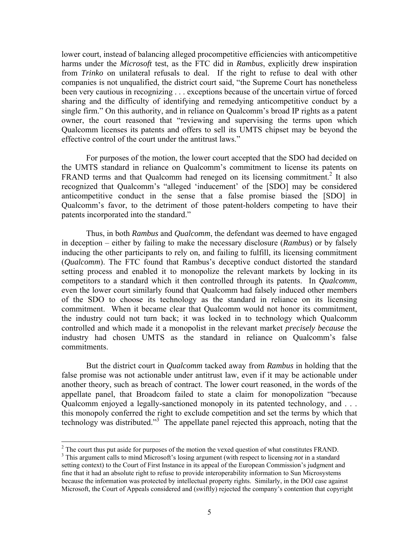lower court, instead of balancing alleged procompetitive efficiencies with anticompetitive harms under the *Microsoft* test, as the FTC did in *Rambus*, explicitly drew inspiration from *Trinko* on unilateral refusals to deal. If the right to refuse to deal with other companies is not unqualified, the district court said, "the Supreme Court has nonetheless been very cautious in recognizing . . . exceptions because of the uncertain virtue of forced sharing and the difficulty of identifying and remedying anticompetitive conduct by a single firm." On this authority, and in reliance on Qualcomm's broad IP rights as a patent owner, the court reasoned that "reviewing and supervising the terms upon which Qualcomm licenses its patents and offers to sell its UMTS chipset may be beyond the effective control of the court under the antitrust laws."

For purposes of the motion, the lower court accepted that the SDO had decided on the UMTS standard in reliance on Qualcomm's commitment to license its patents on FRAND terms and that Qualcomm had reneged on its licensing commitment.<sup>2</sup> It also recognized that Qualcomm's "alleged 'inducement' of the [SDO] may be considered anticompetitive conduct in the sense that a false promise biased the [SDO] in Qualcomm's favor, to the detriment of those patent-holders competing to have their patents incorporated into the standard."

Thus, in both *Rambus* and *Qualcomm*, the defendant was deemed to have engaged in deception – either by failing to make the necessary disclosure (*Rambus*) or by falsely inducing the other participants to rely on, and failing to fulfill, its licensing commitment (*Qualcomm*). The FTC found that Rambus's deceptive conduct distorted the standard setting process and enabled it to monopolize the relevant markets by locking in its competitors to a standard which it then controlled through its patents. In *Qualcomm*, even the lower court similarly found that Qualcomm had falsely induced other members of the SDO to choose its technology as the standard in reliance on its licensing commitment. When it became clear that Qualcomm would not honor its commitment, the industry could not turn back; it was locked in to technology which Qualcomm controlled and which made it a monopolist in the relevant market *precisely because* the industry had chosen UMTS as the standard in reliance on Qualcomm's false commitments.

But the district court in *Qualcomm* tacked away from *Rambus* in holding that the false promise was not actionable under antitrust law, even if it may be actionable under another theory, such as breach of contract. The lower court reasoned, in the words of the appellate panel, that Broadcom failed to state a claim for monopolization "because Qualcomm enjoyed a legally-sanctioned monopoly in its patented technology, and . . . this monopoly conferred the right to exclude competition and set the terms by which that technology was distributed."3 The appellate panel rejected this approach, noting that the

 $\overline{a}$ 

<sup>&</sup>lt;sup>2</sup> The court thus put aside for purposes of the motion the vexed question of what constitutes FRAND.

This argument calls to mind Microsoft's losing argument (with respect to licensing *not* in a standard setting context) to the Court of First Instance in its appeal of the European Commission's judgment and fine that it had an absolute right to refuse to provide interoperability information to Sun Microsystems because the information was protected by intellectual property rights. Similarly, in the DOJ case against Microsoft, the Court of Appeals considered and (swiftly) rejected the company's contention that copyright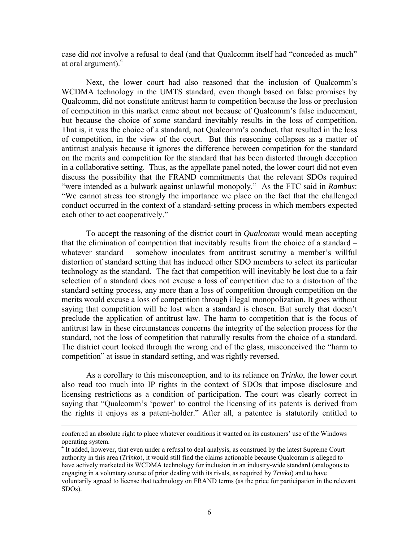case did *not* involve a refusal to deal (and that Qualcomm itself had "conceded as much" at oral argument).<sup>4</sup>

Next, the lower court had also reasoned that the inclusion of Qualcomm's WCDMA technology in the UMTS standard, even though based on false promises by Qualcomm, did not constitute antitrust harm to competition because the loss or preclusion of competition in this market came about not because of Qualcomm's false inducement, but because the choice of *some* standard inevitably results in the loss of competition. That is, it was the choice of a standard, not Qualcomm's conduct, that resulted in the loss of competition, in the view of the court. But this reasoning collapses as a matter of antitrust analysis because it ignores the difference between competition for the standard on the merits and competition for the standard that has been distorted through deception in a collaborative setting. Thus, as the appellate panel noted, the lower court did not even discuss the possibility that the FRAND commitments that the relevant SDOs required "were intended as a bulwark against unlawful monopoly." As the FTC said in *Rambus*: "We cannot stress too strongly the importance we place on the fact that the challenged conduct occurred in the context of a standard-setting process in which members expected each other to act cooperatively."

To accept the reasoning of the district court in *Qualcomm* would mean accepting that the elimination of competition that inevitably results from the choice of a standard – whatever standard – somehow inoculates from antitrust scrutiny a member's willful distortion of standard setting that has induced other SDO members to select its particular technology as the standard. The fact that competition will inevitably be lost due to a fair selection of a standard does not excuse a loss of competition due to a distortion of the standard setting process, any more than a loss of competition through competition on the merits would excuse a loss of competition through illegal monopolization. It goes without saying that competition will be lost when a standard is chosen. But surely that doesn't preclude the application of antitrust law. The harm to competition that is the focus of antitrust law in these circumstances concerns the integrity of the selection process for the standard, not the loss of competition that naturally results from the choice of a standard. The district court looked through the wrong end of the glass, misconceived the "harm to competition" at issue in standard setting, and was rightly reversed.

As a corollary to this misconception, and to its reliance on *Trinko*, the lower court also read too much into IP rights in the context of SDOs that impose disclosure and licensing restrictions as a condition of participation. The court was clearly correct in saying that "Qualcomm's 'power' to control the licensing of its patents is derived from the rights it enjoys as a patent-holder." After all, a patentee is statutorily entitled to

conferred an absolute right to place whatever conditions it wanted on its customers' use of the Windows operating system. 4

 $<sup>4</sup>$  It added, however, that even under a refusal to deal analysis, as construed by the latest Supreme Court</sup> authority in this area (*Trinko*), it would still find the claims actionable because Qualcomm is alleged to have actively marketed its WCDMA technology for inclusion in an industry-wide standard (analogous to engaging in a voluntary course of prior dealing with its rivals, as required by *Trinko*) and to have voluntarily agreed to license that technology on FRAND terms (as the price for participation in the relevant SDOs).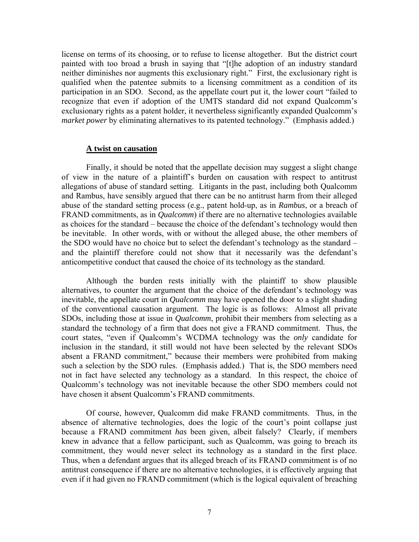license on terms of its choosing, or to refuse to license altogether. But the district court painted with too broad a brush in saying that "[t]he adoption of an industry standard neither diminishes nor augments this exclusionary right." First, the exclusionary right is qualified when the patentee submits to a licensing commitment as a condition of its participation in an SDO. Second, as the appellate court put it, the lower court "failed to recognize that even if adoption of the UMTS standard did not expand Qualcomm's exclusionary rights as a patent holder, it nevertheless significantly expanded Qualcomm's *market power* by eliminating alternatives to its patented technology." (Emphasis added.)

## **A twist on causation**

Finally, it should be noted that the appellate decision may suggest a slight change of view in the nature of a plaintiff's burden on causation with respect to antitrust allegations of abuse of standard setting. Litigants in the past, including both Qualcomm and Rambus, have sensibly argued that there can be no antitrust harm from their alleged abuse of the standard setting process (e.g., patent hold-up, as in *Rambus*, or a breach of FRAND commitments, as in *Qualcomm*) if there are no alternative technologies available as choices for the standard – because the choice of the defendant's technology would then be inevitable. In other words, with or without the alleged abuse, the other members of the SDO would have no choice but to select the defendant's technology as the standard – and the plaintiff therefore could not show that it necessarily was the defendant's anticompetitive conduct that caused the choice of its technology as the standard.

Although the burden rests initially with the plaintiff to show plausible alternatives, to counter the argument that the choice of the defendant's technology was inevitable, the appellate court in *Qualcomm* may have opened the door to a slight shading of the conventional causation argument. The logic is as follows: Almost all private SDOs, including those at issue in *Qualcomm*, prohibit their members from selecting as a standard the technology of a firm that does not give a FRAND commitment. Thus, the court states, "even if Qualcomm's WCDMA technology was the *only* candidate for inclusion in the standard, it still would not have been selected by the relevant SDOs absent a FRAND commitment," because their members were prohibited from making such a selection by the SDO rules. (Emphasis added.) That is, the SDO members need not in fact have selected any technology as a standard. In this respect, the choice of Qualcomm's technology was not inevitable because the other SDO members could not have chosen it absent Qualcomm's FRAND commitments.

Of course, however, Qualcomm did make FRAND commitments. Thus, in the absence of alternative technologies, does the logic of the court's point collapse just because a FRAND commitment *has* been given, albeit falsely? Clearly, if members knew in advance that a fellow participant, such as Qualcomm, was going to breach its commitment, they would never select its technology as a standard in the first place. Thus, when a defendant argues that its alleged breach of its FRAND commitment is of no antitrust consequence if there are no alternative technologies, it is effectively arguing that even if it had given no FRAND commitment (which is the logical equivalent of breaching